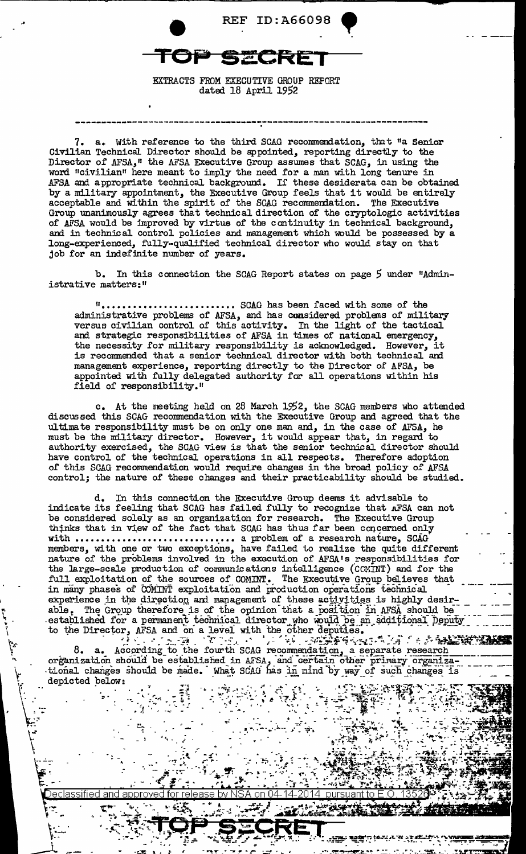

EXTRACTS FROM EXECUTIVE GROUP REPORT dated 18 April 1952

7. a. With reference to the third SCAG recommendation, that "a Senior Civilian Technical Director should be appointed, reporting directly to the Director of AFSA," the AFSA Executive Group assumes that SCAG, in using the word "civilian" here meant to imply the need for a man with long tenure in AFSA and appropriate technical background. If these desiderata can be obtained by a military appointment, the Executive Group feels that it would be entirely acceptable and within the spirit of the SCAG recommendation. The Executive Group unanimously agrees that technical direction of the cryptologic activities of AFSA would be improved by virtue of the continuity in technical background, and in technical control policies and management which would be possessed by a long-experienced, fully-qualified technical director who would stay on that job for an indefinite number of years.

b. In this connection the SCAG Report states on page *5* under "Administrative matters:"

"·························· SCAG has been faced with some of the administrative problems of AFSA, and has considered problems of military versus civilian control of this activity. In the light of the tactical and strategic responsibilities of AFSA in times of national emergency, the necessity for military responsibility is acknowledged. However, it is recommended that a senior technical director with both technical and management experience, reporting directly to the Director of AFSA, be appointed with fully delegated authority far all operations within his field of responsibility."

c. At the meeting held on 28 March 1952, the SCAG members who attended discussed this SCAG reconnnendation with the Executive Group and agreed that the ultimate responsibility must be on only one man and, in the case of AFSA, he must be the military director. However, it would appear that, in regard to authority exercised, the SCAG view is that the senior technical director should have control of the technical operations in all respects. Therefore adoption of this SCAG recommendation would require changes in the broad policy of AFSA control; the nature of these changes and their practicability should be studied.

d. In this connection the Executive Group deems it advisable to indicate its feeling that SCAG has failed fully to recognize that AFSA can not be considered solely as an organization for research. The Executive Group thinks that in view of the fact that SCAG has thus far been concerned only with  $\dots\dots\dots\dots\dots\dots\dots\dots\dots\dots\dots\dots$  a problem of a research nature, SCAG members, with one or two exceptions, have failed to realize the quite different nature of the problems involved in the execution of AFSA's responsibilities for the large-scale production of communications intelligence (CCMINT) and for the full exploitation of the sources of COMINT. The Executive Group believes that in many phases of COMINT exploitation and production operations technical experience in the direction and management of these activities is highly desirable. The Group therefore is of the opinion that a position in AFSA should be compared to the opinion of the opinion of the a position in AFSA should be established for a permanent technical director who would be an additional peputy in the other deputies.<br>to the Director, AFSA and on a level with the other deputies.

"' ' I, ~ ,. I

> $~V_{\rm{esc}}$ .<br>ا

> > $\sqrt{\frac{1}{2} \cdot \frac{1}{2}}$

 $\overline{r}$ 

'<br>''

:""

 $\mathcal{L}$ .

 $8. a. A^\text{cocording to the fourth SCAG recognition, a separate research$ organization should be established in *AFSA*, and certain other primary organiza-<br>tional changes should be made. What SCAG has in mind by way of such changes is depicted pelow:

and approve